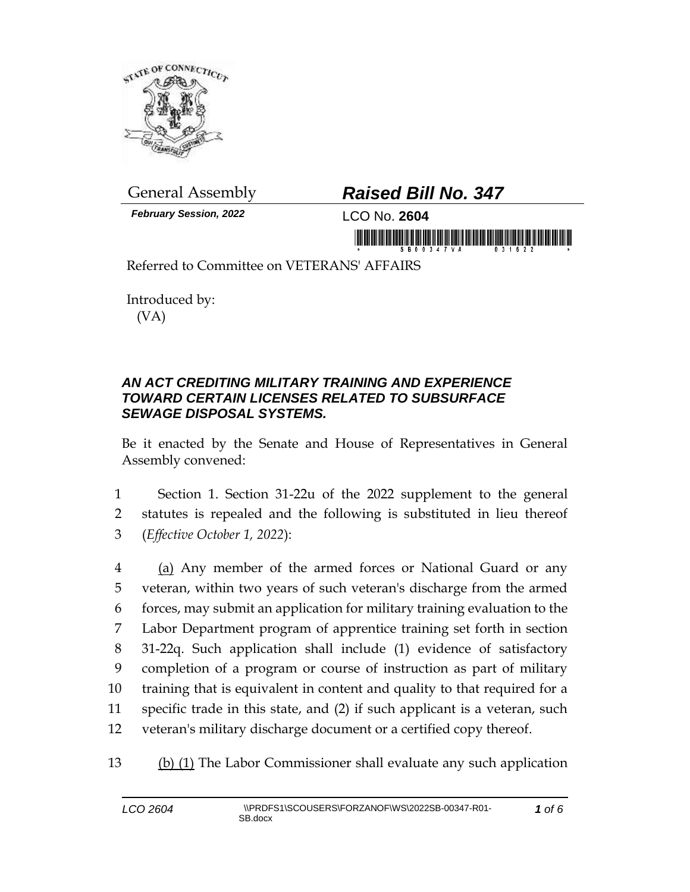

*February Session, 2022* LCO No. **2604**

## General Assembly *Raised Bill No. 347*

in morning is in his bidding on the fish of the form of the

Referred to Committee on VETERANS' AFFAIRS

Introduced by: (VA)

## *AN ACT CREDITING MILITARY TRAINING AND EXPERIENCE TOWARD CERTAIN LICENSES RELATED TO SUBSURFACE SEWAGE DISPOSAL SYSTEMS.*

Be it enacted by the Senate and House of Representatives in General Assembly convened:

1 Section 1. Section 31-22u of the 2022 supplement to the general 2 statutes is repealed and the following is substituted in lieu thereof 3 (*Effective October 1, 2022*):

4 (a) Any member of the armed forces or National Guard or any veteran, within two years of such veteran's discharge from the armed forces, may submit an application for military training evaluation to the Labor Department program of apprentice training set forth in section 31-22q. Such application shall include (1) evidence of satisfactory completion of a program or course of instruction as part of military training that is equivalent in content and quality to that required for a specific trade in this state, and (2) if such applicant is a veteran, such veteran's military discharge document or a certified copy thereof.

13 (b) (1) The Labor Commissioner shall evaluate any such application

*1 of 6*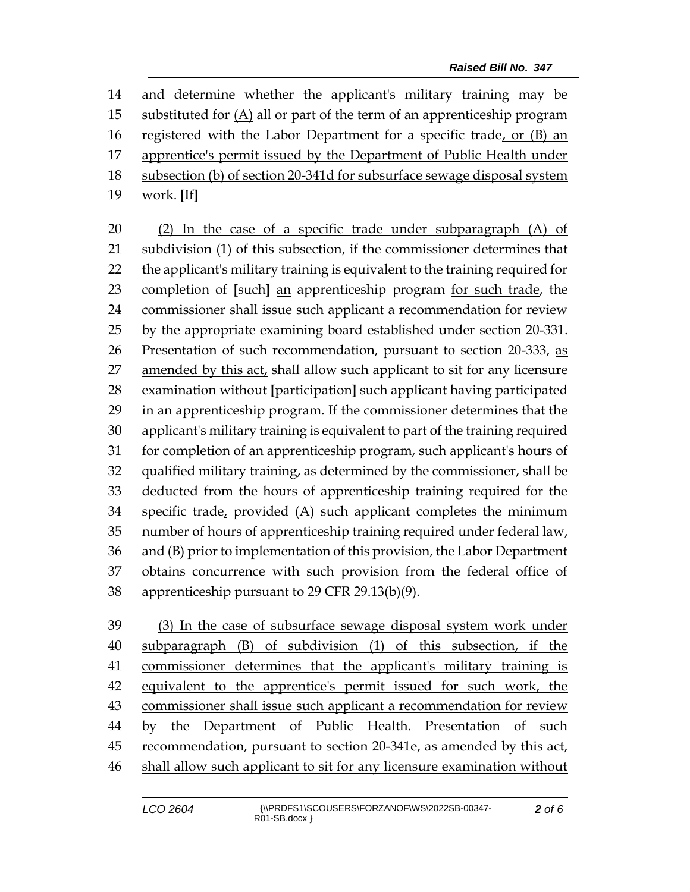and determine whether the applicant's military training may be substituted for (A) all or part of the term of an apprenticeship program registered with the Labor Department for a specific trade, or (B) an 17 apprentice's permit issued by the Department of Public Health under 18 subsection (b) of section 20-341d for subsurface sewage disposal system work. **[**If**]**

 (2) In the case of a specific trade under subparagraph (A) of subdivision (1) of this subsection, if the commissioner determines that the applicant's military training is equivalent to the training required for completion of **[**such**]** an apprenticeship program for such trade, the commissioner shall issue such applicant a recommendation for review by the appropriate examining board established under section 20-331. 26 Presentation of such recommendation, pursuant to section 20-333, as 27 amended by this act, shall allow such applicant to sit for any licensure examination without **[**participation**]** such applicant having participated in an apprenticeship program. If the commissioner determines that the applicant's military training is equivalent to part of the training required for completion of an apprenticeship program, such applicant's hours of qualified military training, as determined by the commissioner, shall be deducted from the hours of apprenticeship training required for the 34 specific trade, provided  $(A)$  such applicant completes the minimum number of hours of apprenticeship training required under federal law, and (B) prior to implementation of this provision, the Labor Department obtains concurrence with such provision from the federal office of apprenticeship pursuant to 29 CFR 29.13(b)(9).

 (3) In the case of subsurface sewage disposal system work under subparagraph (B) of subdivision (1) of this subsection, if the commissioner determines that the applicant's military training is equivalent to the apprentice's permit issued for such work, the commissioner shall issue such applicant a recommendation for review by the Department of Public Health. Presentation of such recommendation, pursuant to section 20-341e, as amended by this act, shall allow such applicant to sit for any licensure examination without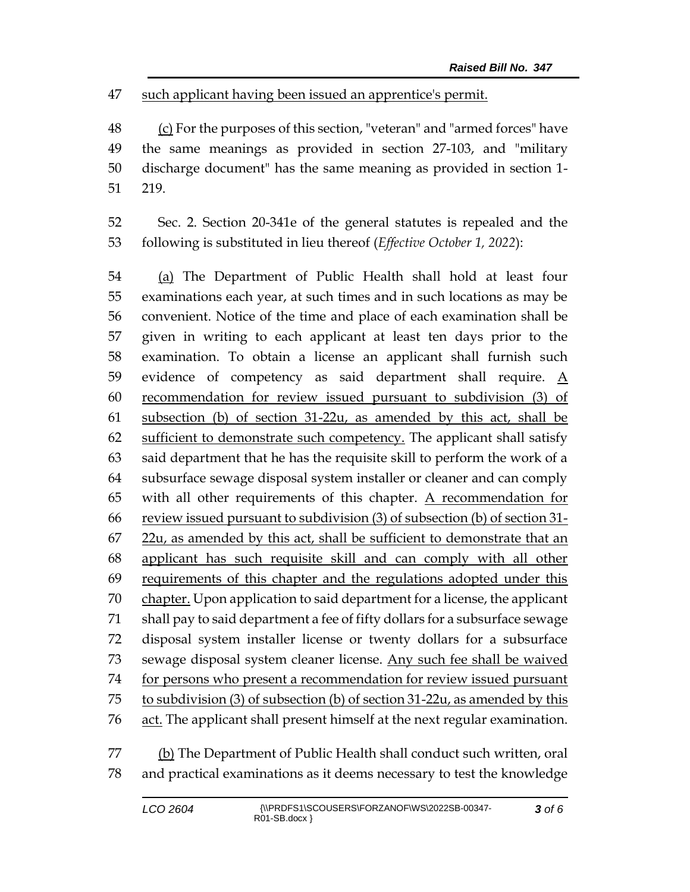such applicant having been issued an apprentice's permit.

 (c) For the purposes of this section, "veteran" and "armed forces" have the same meanings as provided in section 27-103, and "military discharge document" has the same meaning as provided in section 1- 219.

 Sec. 2. Section 20-341e of the general statutes is repealed and the following is substituted in lieu thereof (*Effective October 1, 2022*):

 (a) The Department of Public Health shall hold at least four examinations each year, at such times and in such locations as may be convenient. Notice of the time and place of each examination shall be given in writing to each applicant at least ten days prior to the examination. To obtain a license an applicant shall furnish such 59 evidence of competency as said department shall require.  $\underline{A}$  recommendation for review issued pursuant to subdivision (3) of subsection (b) of section 31-22u, as amended by this act, shall be 62 sufficient to demonstrate such competency. The applicant shall satisfy said department that he has the requisite skill to perform the work of a subsurface sewage disposal system installer or cleaner and can comply with all other requirements of this chapter. A recommendation for review issued pursuant to subdivision (3) of subsection (b) of section 31-  $22u$ , as amended by this act, shall be sufficient to demonstrate that an applicant has such requisite skill and can comply with all other 69 requirements of this chapter and the regulations adopted under this 70 chapter. Upon application to said department for a license, the applicant shall pay to said department a fee of fifty dollars for a subsurface sewage disposal system installer license or twenty dollars for a subsurface 73 sewage disposal system cleaner license. Any such fee shall be waived for persons who present a recommendation for review issued pursuant to subdivision (3) of subsection (b) of section 31-22u, as amended by this 76 act. The applicant shall present himself at the next regular examination.

77 (b) The Department of Public Health shall conduct such written, oral and practical examinations as it deems necessary to test the knowledge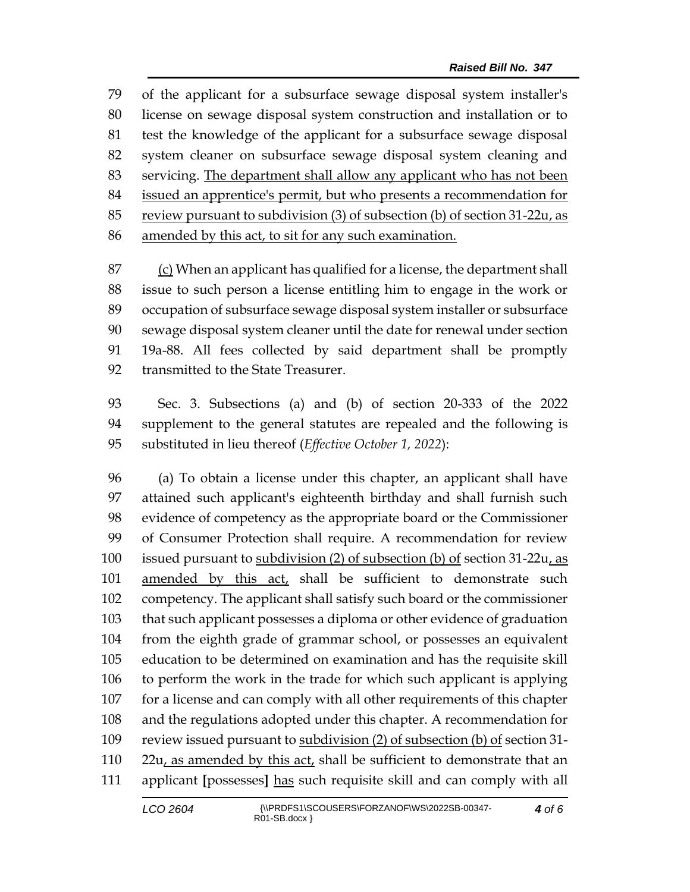of the applicant for a subsurface sewage disposal system installer's license on sewage disposal system construction and installation or to test the knowledge of the applicant for a subsurface sewage disposal system cleaner on subsurface sewage disposal system cleaning and servicing. The department shall allow any applicant who has not been issued an apprentice's permit, but who presents a recommendation for review pursuant to subdivision (3) of subsection (b) of section 31-22u, as amended by this act, to sit for any such examination.

 (c) When an applicant has qualified for a license, the department shall issue to such person a license entitling him to engage in the work or occupation of subsurface sewage disposal system installer or subsurface sewage disposal system cleaner until the date for renewal under section 19a-88. All fees collected by said department shall be promptly 92 transmitted to the State Treasurer.

 Sec. 3. Subsections (a) and (b) of section 20-333 of the 2022 supplement to the general statutes are repealed and the following is substituted in lieu thereof (*Effective October 1, 2022*):

 (a) To obtain a license under this chapter, an applicant shall have attained such applicant's eighteenth birthday and shall furnish such evidence of competency as the appropriate board or the Commissioner of Consumer Protection shall require. A recommendation for review issued pursuant to subdivision (2) of subsection (b) of section 31-22u, as amended by this act, shall be sufficient to demonstrate such competency. The applicant shall satisfy such board or the commissioner that such applicant possesses a diploma or other evidence of graduation from the eighth grade of grammar school, or possesses an equivalent education to be determined on examination and has the requisite skill to perform the work in the trade for which such applicant is applying for a license and can comply with all other requirements of this chapter and the regulations adopted under this chapter. A recommendation for 109 review issued pursuant to subdivision (2) of subsection (b) of section 31-110 22 $u_t$  as amended by this act, shall be sufficient to demonstrate that an applicant **[**possesses**]** has such requisite skill and can comply with all

*of 6*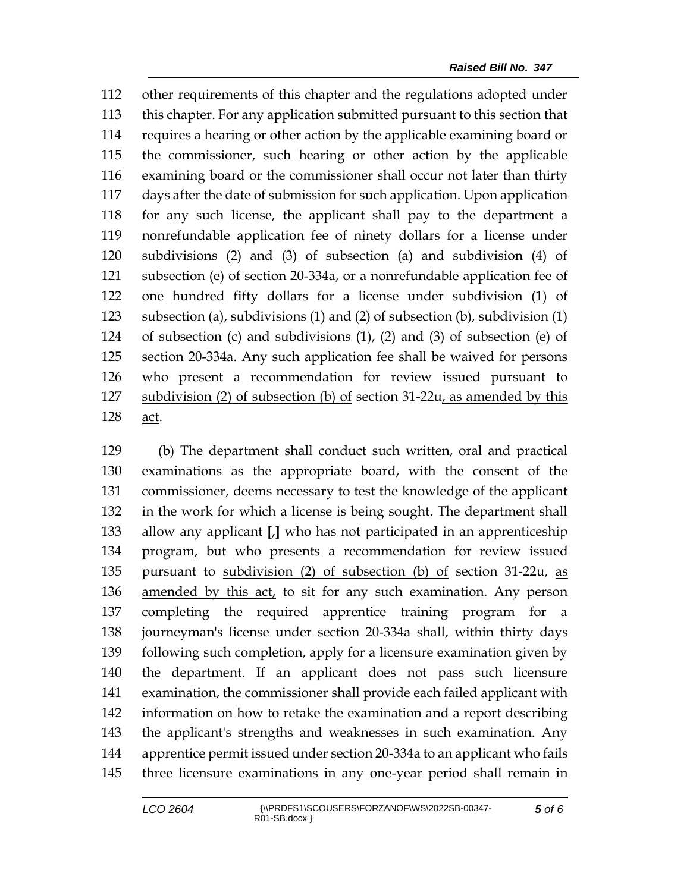other requirements of this chapter and the regulations adopted under this chapter. For any application submitted pursuant to this section that requires a hearing or other action by the applicable examining board or the commissioner, such hearing or other action by the applicable examining board or the commissioner shall occur not later than thirty days after the date of submission for such application. Upon application for any such license, the applicant shall pay to the department a nonrefundable application fee of ninety dollars for a license under subdivisions (2) and (3) of subsection (a) and subdivision (4) of subsection (e) of section 20-334a, or a nonrefundable application fee of one hundred fifty dollars for a license under subdivision (1) of subsection (a), subdivisions (1) and (2) of subsection (b), subdivision (1) of subsection (c) and subdivisions (1), (2) and (3) of subsection (e) of section 20-334a. Any such application fee shall be waived for persons who present a recommendation for review issued pursuant to subdivision (2) of subsection (b) of section 31-22u, as amended by this act.

 (b) The department shall conduct such written, oral and practical examinations as the appropriate board, with the consent of the commissioner, deems necessary to test the knowledge of the applicant in the work for which a license is being sought. The department shall allow any applicant **[**,**]** who has not participated in an apprenticeship program, but who presents a recommendation for review issued pursuant to subdivision (2) of subsection (b) of section 31-22u, as 136 amended by this act, to sit for any such examination. Any person completing the required apprentice training program for a journeyman's license under section 20-334a shall, within thirty days following such completion, apply for a licensure examination given by the department. If an applicant does not pass such licensure examination, the commissioner shall provide each failed applicant with information on how to retake the examination and a report describing the applicant's strengths and weaknesses in such examination. Any apprentice permit issued under section 20-334a to an applicant who fails three licensure examinations in any one-year period shall remain in